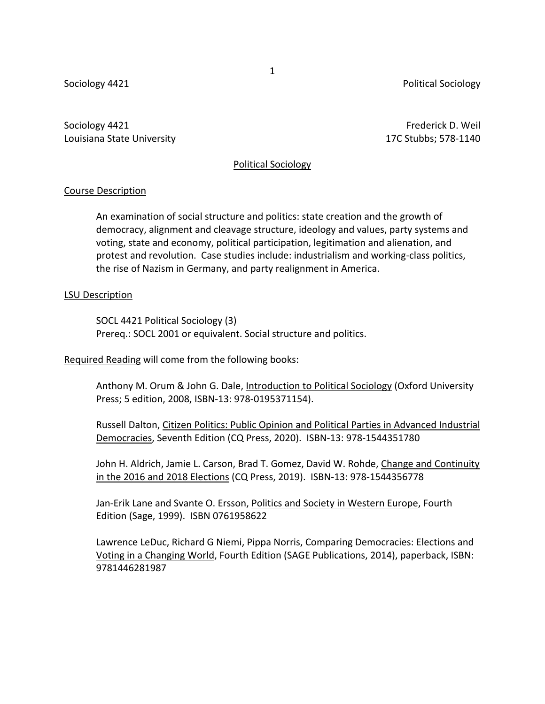Sociology 4421 **Political Sociology** 4421

Sociology 4421 Frederick D. Weil Louisiana State University 17C Stubbs; 578-1140

#### Political Sociology

# Course Description

An examination of social structure and politics: state creation and the growth of democracy, alignment and cleavage structure, ideology and values, party systems and voting, state and economy, political participation, legitimation and alienation, and protest and revolution. Case studies include: industrialism and working-class politics, the rise of Nazism in Germany, and party realignment in America.

## LSU Description

SOCL 4421 Political Sociology (3) Prereq.: SOCL 2001 or equivalent. Social structure and politics.

Required Reading will come from the following books:

Anthony M. Orum & John G. Dale, Introduction to Political Sociology (Oxford University Press; 5 edition, 2008, ISBN-13: 978-0195371154).

Russell Dalton, Citizen Politics: Public Opinion and Political Parties in Advanced Industrial Democracies, Seventh Edition (CQ Press, 2020). ISBN-13: 978-1544351780

John H. Aldrich, Jamie L. Carson, Brad T. Gomez, David W. Rohde, Change and Continuity in the 2016 and 2018 Elections (CQ Press, 2019). ISBN-13: 978-1544356778

Jan-Erik Lane and Svante O. Ersson, Politics and Society in Western Europe, Fourth Edition (Sage, 1999). ISBN 0761958622

Lawrence LeDuc, Richard G Niemi, Pippa Norris, Comparing Democracies: Elections and Voting in a Changing World, Fourth Edition (SAGE Publications, 2014), paperback, ISBN: 9781446281987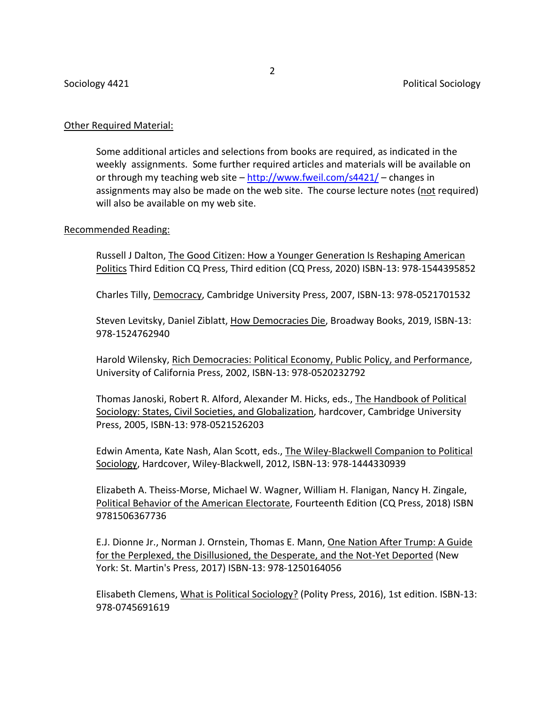# Other Required Material:

Some additional articles and selections from books are required, as indicated in the weekly assignments. Some further required articles and materials will be available on or through my teaching web site – <http://www.fweil.com/s4421/> – changes in assignments may also be made on the web site. The course lecture notes (not required) will also be available on my web site.

# Recommended Reading:

Russell J Dalton, The Good Citizen: How a Younger Generation Is Reshaping American Politics Third Edition CQ Press, Third edition (CQ Press, 2020) ISBN-13: 978-1544395852

Charles Tilly, Democracy, Cambridge University Press, 2007, ISBN-13: 978-0521701532

Steven Levitsky, Daniel Ziblatt, How Democracies Die, Broadway Books, 2019, ISBN-13: 978-1524762940

Harold Wilensky, Rich Democracies: Political Economy, Public Policy, and Performance, University of California Press, 2002, ISBN-13: 978-0520232792

Thomas Janoski, Robert R. Alford, Alexander M. Hicks, eds., The Handbook of Political Sociology: States, Civil Societies, and Globalization, hardcover, Cambridge University Press, 2005, ISBN-13: 978-0521526203

Edwin Amenta, Kate Nash, Alan Scott, eds., The Wiley-Blackwell Companion to Political Sociology, Hardcover, Wiley-Blackwell, 2012, ISBN-13: 978-1444330939

Elizabeth A. Theiss-Morse, Michael W. Wagner, William H. Flanigan, Nancy H. Zingale, Political Behavior of the American Electorate, Fourteenth Edition (CQ Press, 2018) ISBN 9781506367736

E.J. Dionne Jr., Norman J. Ornstein, Thomas E. Mann, One Nation After Trump: A Guide for the Perplexed, the Disillusioned, the Desperate, and the Not-Yet Deported (New York: St. Martin's Press, 2017) ISBN-13: 978-1250164056

Elisabeth Clemens, What is Political Sociology? (Polity Press, 2016), 1st edition. ISBN-13: 978-0745691619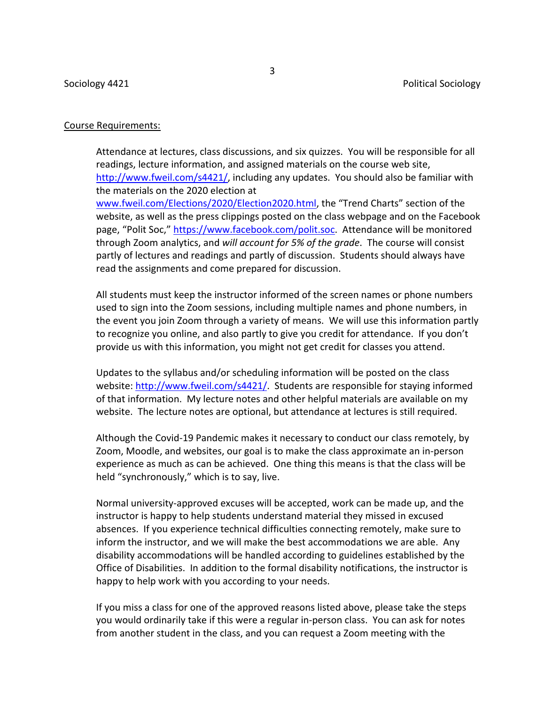#### Course Requirements:

Attendance at lectures, class discussions, and six quizzes. You will be responsible for all readings, lecture information, and assigned materials on the course web site, [http://www.fweil.com/s4421/,](http://www.fweil.com/s4421/) including any updates. You should also be familiar with the materials on the 2020 election at [www.fweil.com/Elections/2020/Election2020.html,](http://www.fweil.com/Elections/2020/Election2020.html) the "Trend Charts" section of the website, as well as the press clippings posted on the class webpage and on the Facebook page, "Polit Soc," [https://www.facebook.com/polit.soc.](https://www.facebook.com/polit.soc) Attendance will be monitored through Zoom analytics, and *will account for 5% of the grade*. The course will consist partly of lectures and readings and partly of discussion. Students should always have read the assignments and come prepared for discussion.

All students must keep the instructor informed of the screen names or phone numbers used to sign into the Zoom sessions, including multiple names and phone numbers, in the event you join Zoom through a variety of means. We will use this information partly to recognize you online, and also partly to give you credit for attendance. If you don't provide us with this information, you might not get credit for classes you attend.

Updates to the syllabus and/or scheduling information will be posted on the class website: [http://www.fweil.com/s4421/.](http://www.fweil.com/s4421/) Students are responsible for staying informed of that information. My lecture notes and other helpful materials are available on my website. The lecture notes are optional, but attendance at lectures is still required.

Although the Covid-19 Pandemic makes it necessary to conduct our class remotely, by Zoom, Moodle, and websites, our goal is to make the class approximate an in-person experience as much as can be achieved. One thing this means is that the class will be held "synchronously," which is to say, live.

Normal university-approved excuses will be accepted, work can be made up, and the instructor is happy to help students understand material they missed in excused absences. If you experience technical difficulties connecting remotely, make sure to inform the instructor, and we will make the best accommodations we are able. Any disability accommodations will be handled according to guidelines established by the Office of Disabilities. In addition to the formal disability notifications, the instructor is happy to help work with you according to your needs.

If you miss a class for one of the approved reasons listed above, please take the steps you would ordinarily take if this were a regular in-person class. You can ask for notes from another student in the class, and you can request a Zoom meeting with the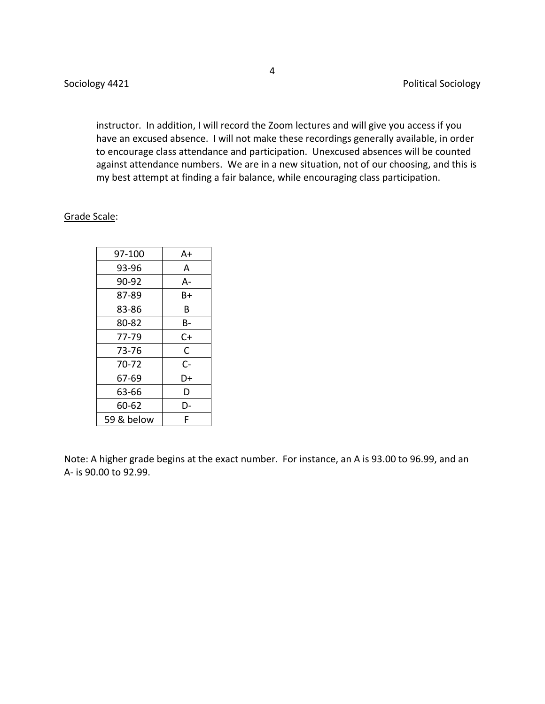instructor. In addition, I will record the Zoom lectures and will give you access if you have an excused absence. I will not make these recordings generally available, in order to encourage class attendance and participation. Unexcused absences will be counted against attendance numbers. We are in a new situation, not of our choosing, and this is my best attempt at finding a fair balance, while encouraging class participation.

## Grade Scale:

| 97-100     | A+ |  |
|------------|----|--|
| 93-96      | А  |  |
| 90-92      | A- |  |
| 87-89      | Β+ |  |
| 83-86      | В  |  |
| 80-82      | В- |  |
| 77-79      | C+ |  |
| 73-76      | C  |  |
| 70-72      | C- |  |
| 67-69      | D+ |  |
| 63-66      | D  |  |
| 60-62      | D- |  |
| 59 & below | F  |  |

Note: A higher grade begins at the exact number. For instance, an A is 93.00 to 96.99, and an A- is 90.00 to 92.99.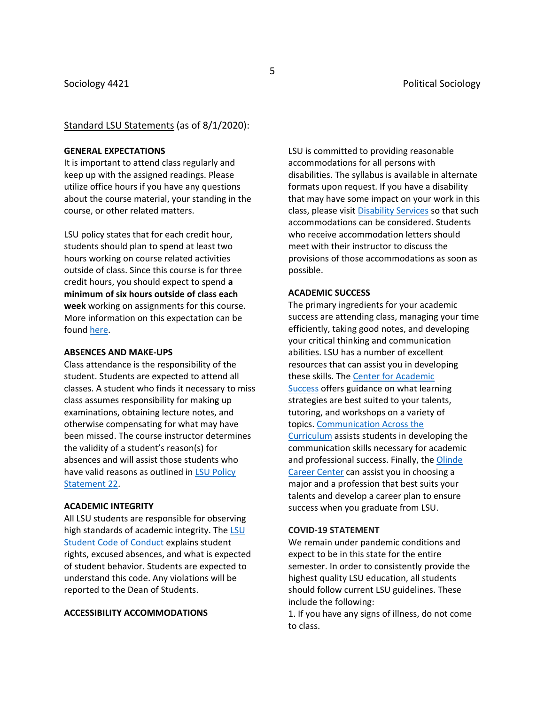#### Standard LSU Statements (as of 8/1/2020):

#### **GENERAL EXPECTATIONS**

It is important to attend class regularly and keep up with the assigned readings. Please utilize office hours if you have any questions about the course material, your standing in the course, or other related matters.

LSU policy states that for each credit hour, students should plan to spend at least two hours working on course related activities outside of class. Since this course is for three credit hours, you should expect to spend **a minimum of six hours outside of class each week** working on assignments for this course. More information on this expectation can be found [here.](http://catalog.lsu.edu/content.php?catoid=12&navoid=822)

#### **ABSENCES AND MAKE-UPS**

Class attendance is the responsibility of the student. Students are expected to attend all classes. A student who finds it necessary to miss class assumes responsibility for making up examinations, obtaining lecture notes, and otherwise compensating for what may have been missed. The course instructor determines the validity of a student's reason(s) for absences and will assist those students who have valid reasons as outlined in [LSU Policy](https://www.lsu.edu/policies/ps/ps_22.pdf)  [Statement 22.](https://www.lsu.edu/policies/ps/ps_22.pdf)

#### **ACADEMIC INTEGRITY**

All LSU students are responsible for observing high standards of academic integrity. The [LSU](https://www.lsu.edu/saa/students/codeofconduct.php)  [Student Code of Conduct](https://www.lsu.edu/saa/students/codeofconduct.php) explains student rights, excused absences, and what is expected of student behavior. Students are expected to understand this code. Any violations will be reported to the Dean of Students.

#### **ACCESSIBILITY ACCOMMODATIONS**

LSU is committed to providing reasonable accommodations for all persons with disabilities. The syllabus is available in alternate formats upon request. If you have a disability that may have some impact on your work in this class, please visit [Disability Services](https://www.lsu.edu/disability/) so that such accommodations can be considered. Students who receive accommodation letters should meet with their instructor to discuss the provisions of those accommodations as soon as possible.

#### **ACADEMIC SUCCESS**

The primary ingredients for your academic success are attending class, managing your time efficiently, taking good notes, and developing your critical thinking and communication abilities. LSU has a number of excellent resources that can assist you in developing these skills. The [Center for Academic](https://www.lsu.edu/cas/)  [Success](https://www.lsu.edu/cas/) offers guidance on what learning strategies are best suited to your talents, tutoring, and workshops on a variety of topics. [Communication Across the](http://cxc.lsu.edu/)  [Curriculum](http://cxc.lsu.edu/) assists students in developing the communication skills necessary for academic and professional success. Finally, the [Olinde](https://www.lsu.edu/careercenter/index.php)  [Career Center](https://www.lsu.edu/careercenter/index.php) can assist you in choosing a major and a profession that best suits your talents and develop a career plan to ensure success when you graduate from LSU.

#### **COVID-19 STATEMENT**

We remain under pandemic conditions and expect to be in this state for the entire semester. In order to consistently provide the highest quality LSU education, all students should follow current LSU guidelines. These include the following:

1. If you have any signs of illness, do not come to class.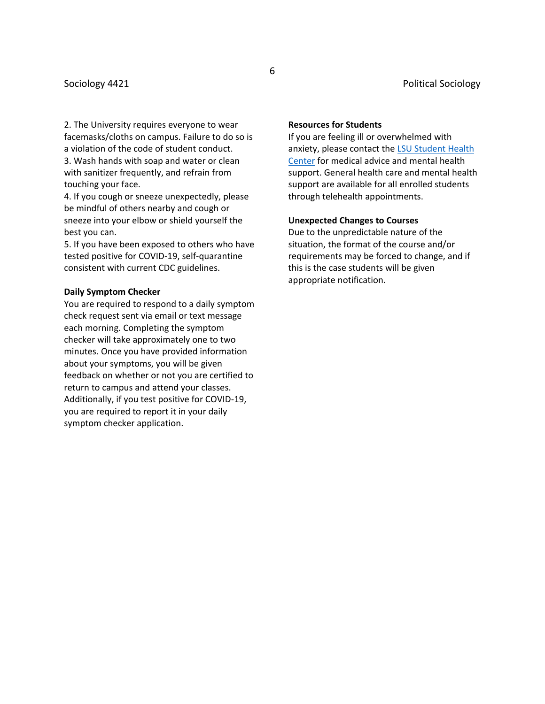2. The University requires everyone to wear facemasks/cloths on campus. Failure to do so is a violation of the code of student conduct. 3. Wash hands with soap and water or clean with sanitizer frequently, and refrain from touching your face.

4. If you cough or sneeze unexpectedly, please be mindful of others nearby and cough or sneeze into your elbow or shield yourself the best you can.

5. If you have been exposed to others who have tested positive for COVID-19, self-quarantine consistent with current CDC guidelines.

#### **Daily Symptom Checker**

You are required to respond to a daily symptom check request sent via email or text message each morning. Completing the symptom checker will take approximately one to two minutes. Once you have provided information about your symptoms, you will be given feedback on whether or not you are certified to return to campus and attend your classes. Additionally, if you test positive for COVID-19, you are required to report it in your daily symptom checker application.

#### **Resources for Students**

If you are feeling ill or overwhelmed with anxiety, please contact the [LSU Student Health](https://lsu.edu/shc/)  [Center](https://lsu.edu/shc/) for medical advice and mental health support. General health care and mental health support are available for all enrolled students through telehealth appointments.

#### **Unexpected Changes to Courses**

Due to the unpredictable nature of the situation, the format of the course and/or requirements may be forced to change, and if this is the case students will be given appropriate notification.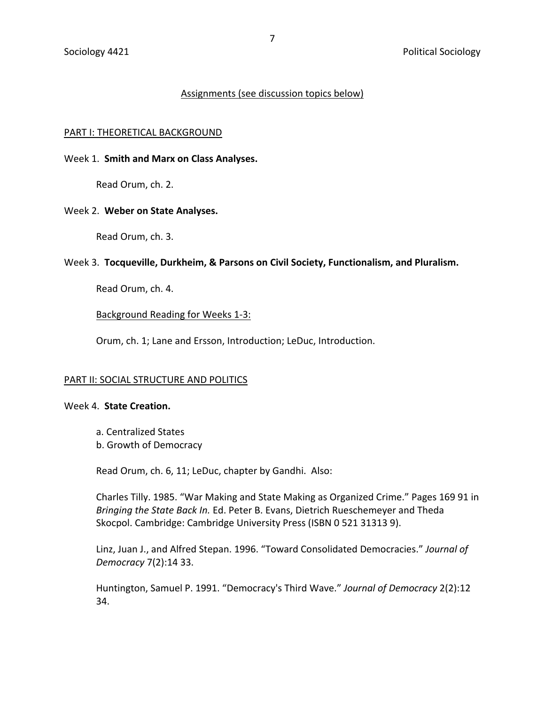# Assignments (see discussion topics below)

#### PART I: THEORETICAL BACKGROUND

## Week 1. **Smith and Marx on Class Analyses.**

Read Orum, ch. 2.

## Week 2. **Weber on State Analyses.**

Read Orum, ch. 3.

## Week 3. **Tocqueville, Durkheim, & Parsons on Civil Society, Functionalism, and Pluralism.**

Read Orum, ch. 4.

# Background Reading for Weeks 1-3:

Orum, ch. 1; Lane and Ersson, Introduction; LeDuc, Introduction.

#### PART II: SOCIAL STRUCTURE AND POLITICS

#### Week 4. **State Creation.**

a. Centralized States b. Growth of Democracy

Read Orum, ch. 6, 11; LeDuc, chapter by Gandhi. Also:

Charles Tilly. 1985. "War Making and State Making as Organized Crime." Pages 169 91 in *Bringing the State Back In.* Ed. Peter B. Evans, Dietrich Rueschemeyer and Theda Skocpol. Cambridge: Cambridge University Press (ISBN 0 521 31313 9).

Linz, Juan J., and Alfred Stepan. 1996. "Toward Consolidated Democracies." *Journal of Democracy* 7(2):14 33.

Huntington, Samuel P. 1991. "Democracy's Third Wave." *Journal of Democracy* 2(2):12 34.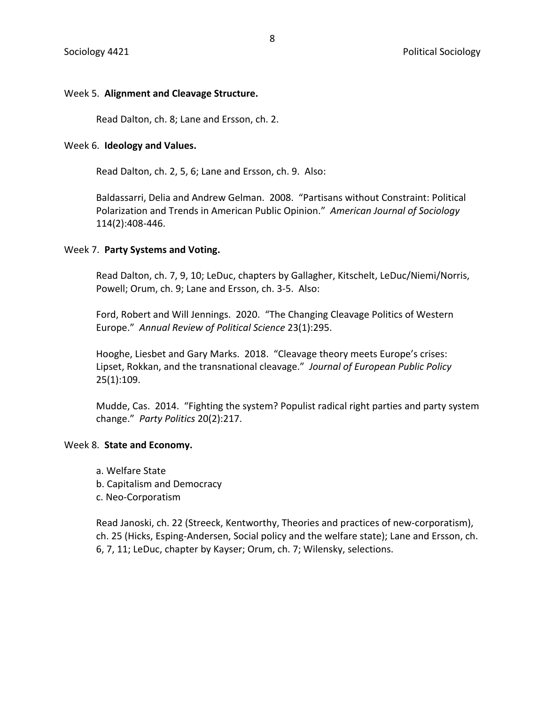# Week 5. **Alignment and Cleavage Structure.**

Read Dalton, ch. 8; Lane and Ersson, ch. 2.

## Week 6. **Ideology and Values.**

Read Dalton, ch. 2, 5, 6; Lane and Ersson, ch. 9. Also:

Baldassarri, Delia and Andrew Gelman. 2008. "Partisans without Constraint: Political Polarization and Trends in American Public Opinion." *American Journal of Sociology* 114(2):408-446.

## Week 7. **Party Systems and Voting.**

Read Dalton, ch. 7, 9, 10; LeDuc, chapters by Gallagher, Kitschelt, LeDuc/Niemi/Norris, Powell; Orum, ch. 9; Lane and Ersson, ch. 3-5. Also:

Ford, Robert and Will Jennings. 2020. "The Changing Cleavage Politics of Western Europe." *Annual Review of Political Science* 23(1):295.

Hooghe, Liesbet and Gary Marks. 2018. "Cleavage theory meets Europe's crises: Lipset, Rokkan, and the transnational cleavage." *Journal of European Public Policy* 25(1):109.

Mudde, Cas. 2014. "Fighting the system? Populist radical right parties and party system change." *Party Politics* 20(2):217.

## Week 8. **State and Economy.**

- a. Welfare State
- b. Capitalism and Democracy
- c. Neo-Corporatism

Read Janoski, ch. 22 (Streeck, Kentworthy, Theories and practices of new-corporatism), ch. 25 (Hicks, Esping-Andersen, Social policy and the welfare state); Lane and Ersson, ch. 6, 7, 11; LeDuc, chapter by Kayser; Orum, ch. 7; Wilensky, selections.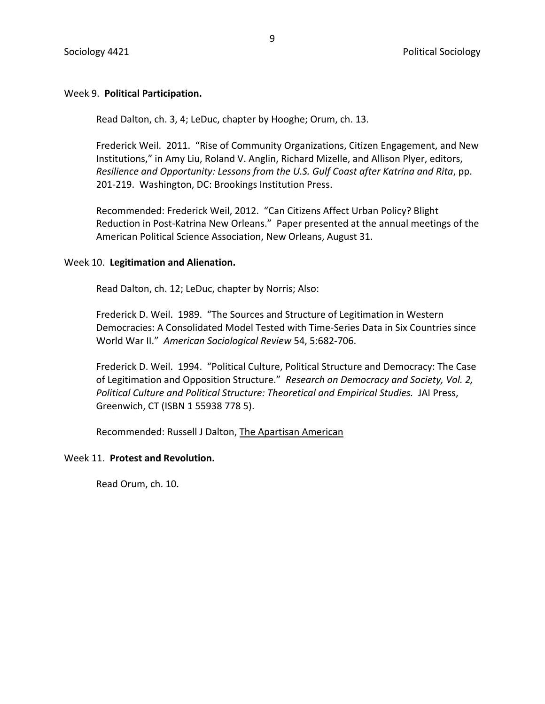# Week 9. **Political Participation.**

Read Dalton, ch. 3, 4; LeDuc, chapter by Hooghe; Orum, ch. 13.

Frederick Weil. 2011. "Rise of Community Organizations, Citizen Engagement, and New Institutions," in Amy Liu, Roland V. Anglin, Richard Mizelle, and Allison Plyer, editors, *Resilience and Opportunity: Lessons from the U.S. Gulf Coast after Katrina and Rita*, pp. 201-219. Washington, DC: Brookings Institution Press.

Recommended: Frederick Weil, 2012. "Can Citizens Affect Urban Policy? Blight Reduction in Post-Katrina New Orleans." Paper presented at the annual meetings of the American Political Science Association, New Orleans, August 31.

# Week 10. **Legitimation and Alienation.**

Read Dalton, ch. 12; LeDuc, chapter by Norris; Also:

Frederick D. Weil. 1989. "The Sources and Structure of Legitimation in Western Democracies: A Consolidated Model Tested with Time-Series Data in Six Countries since World War II." *American Sociological Review* 54, 5:682-706.

Frederick D. Weil. 1994. "Political Culture, Political Structure and Democracy: The Case of Legitimation and Opposition Structure." *Research on Democracy and Society, Vol. 2, Political Culture and Political Structure: Theoretical and Empirical Studies.* JAI Press, Greenwich, CT (ISBN 1 55938 778 5).

Recommended: Russell J Dalton, The Apartisan American

# Week 11. **Protest and Revolution.**

Read Orum, ch. 10.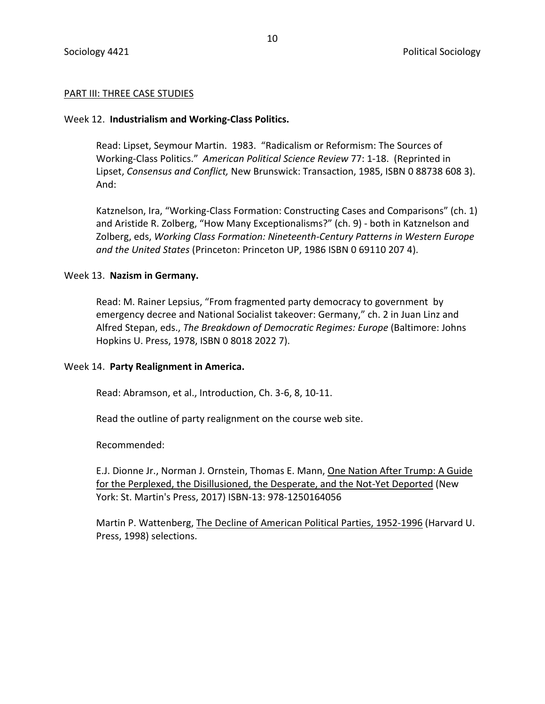# PART III: THREE CASE STUDIES

# Week 12. **Industrialism and Working-Class Politics.**

Read: Lipset, Seymour Martin. 1983. "Radicalism or Reformism: The Sources of Working-Class Politics." *American Political Science Review* 77: 1-18. (Reprinted in Lipset, *Consensus and Conflict,* New Brunswick: Transaction, 1985, ISBN 0 88738 608 3). And:

Katznelson, Ira, "Working-Class Formation: Constructing Cases and Comparisons" (ch. 1) and Aristide R. Zolberg, "How Many Exceptionalisms?" (ch. 9) - both in Katznelson and Zolberg, eds, *Working Class Formation: Nineteenth-Century Patterns in Western Europe and the United States* (Princeton: Princeton UP, 1986 ISBN 0 69110 207 4).

# Week 13. **Nazism in Germany.**

Read: M. Rainer Lepsius, "From fragmented party democracy to government by emergency decree and National Socialist takeover: Germany," ch. 2 in Juan Linz and Alfred Stepan, eds., *The Breakdown of Democratic Regimes: Europe* (Baltimore: Johns Hopkins U. Press, 1978, ISBN 0 8018 2022 7).

# Week 14. **Party Realignment in America.**

Read: Abramson, et al., Introduction, Ch. 3-6, 8, 10-11.

Read the outline of party realignment on the course web site.

Recommended:

E.J. Dionne Jr., Norman J. Ornstein, Thomas E. Mann, One Nation After Trump: A Guide for the Perplexed, the Disillusioned, the Desperate, and the Not-Yet Deported (New York: St. Martin's Press, 2017) ISBN-13: 978-1250164056

Martin P. Wattenberg, The Decline of American Political Parties, 1952-1996 (Harvard U. Press, 1998) selections.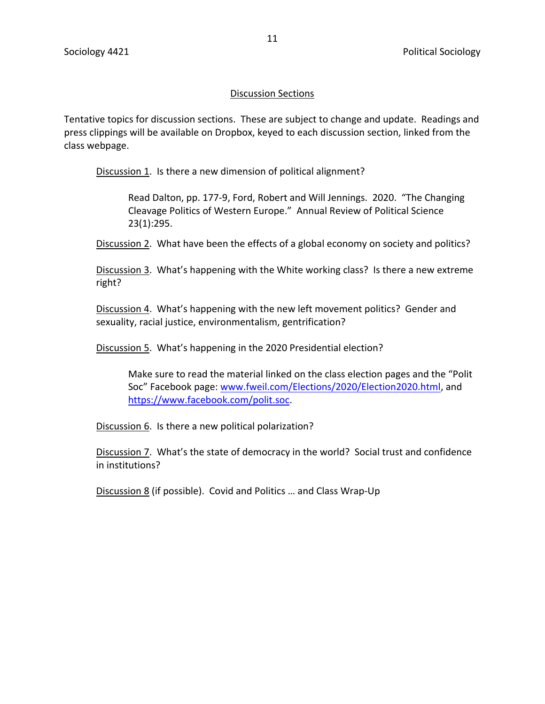# Discussion Sections

Tentative topics for discussion sections. These are subject to change and update. Readings and press clippings will be available on Dropbox, keyed to each discussion section, linked from the class webpage.

Discussion 1. Is there a new dimension of political alignment?

Read Dalton, pp. 177-9, Ford, Robert and Will Jennings. 2020. "The Changing Cleavage Politics of Western Europe." Annual Review of Political Science 23(1):295.

Discussion 2. What have been the effects of a global economy on society and politics?

Discussion 3. What's happening with the White working class? Is there a new extreme right?

Discussion 4. What's happening with the new left movement politics? Gender and sexuality, racial justice, environmentalism, gentrification?

Discussion 5. What's happening in the 2020 Presidential election?

Make sure to read the material linked on the class election pages and the "Polit Soc" Facebook page: [www.fweil.com/Elections/2020/Election2020.html,](http://www.fweil.com/Elections/2020/Election2020.html) and [https://www.facebook.com/polit.soc.](https://www.facebook.com/polit.soc)

Discussion 6. Is there a new political polarization?

Discussion 7. What's the state of democracy in the world? Social trust and confidence in institutions?

Discussion 8 (if possible). Covid and Politics ... and Class Wrap-Up